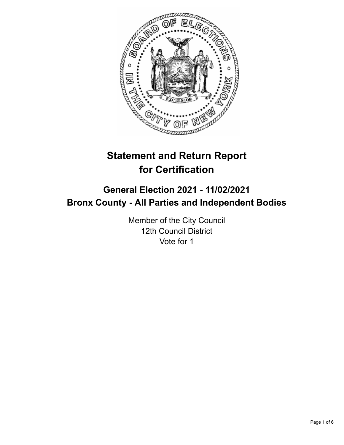

# **Statement and Return Report for Certification**

# **General Election 2021 - 11/02/2021 Bronx County - All Parties and Independent Bodies**

Member of the City Council 12th Council District Vote for 1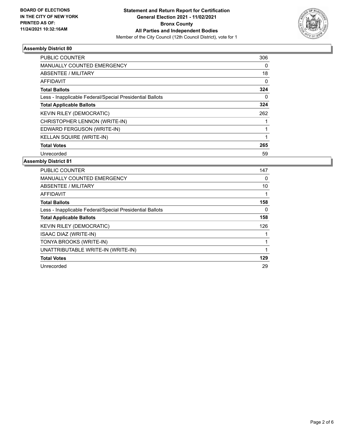

## **Assembly District 80**

| <b>PUBLIC COUNTER</b>                                    | 306 |
|----------------------------------------------------------|-----|
| <b>MANUALLY COUNTED EMERGENCY</b>                        | 0   |
| ABSENTEE / MILITARY                                      | 18  |
| AFFIDAVIT                                                | 0   |
| <b>Total Ballots</b>                                     | 324 |
| Less - Inapplicable Federal/Special Presidential Ballots | 0   |
| <b>Total Applicable Ballots</b>                          | 324 |
| KEVIN RILEY (DEMOCRATIC)                                 | 262 |
| CHRISTOPHER LENNON (WRITE-IN)                            |     |
| EDWARD FERGUSON (WRITE-IN)                               |     |
| KELLAN SQUIRE (WRITE-IN)                                 |     |
| <b>Total Votes</b>                                       | 265 |
| Unrecorded                                               | 59  |

#### **Assembly District 81**

| <b>PUBLIC COUNTER</b>                                    | 147 |
|----------------------------------------------------------|-----|
| <b>MANUALLY COUNTED EMERGENCY</b>                        | 0   |
| ABSENTEE / MILITARY                                      | 10  |
| AFFIDAVIT                                                |     |
| <b>Total Ballots</b>                                     | 158 |
| Less - Inapplicable Federal/Special Presidential Ballots | 0   |
| <b>Total Applicable Ballots</b>                          | 158 |
| <b>KEVIN RILEY (DEMOCRATIC)</b>                          | 126 |
| ISAAC DIAZ (WRITE-IN)                                    |     |
| TONYA BROOKS (WRITE-IN)                                  |     |
| UNATTRIBUTABLE WRITE-IN (WRITE-IN)                       |     |
| <b>Total Votes</b>                                       | 129 |
| Unrecorded                                               | 29  |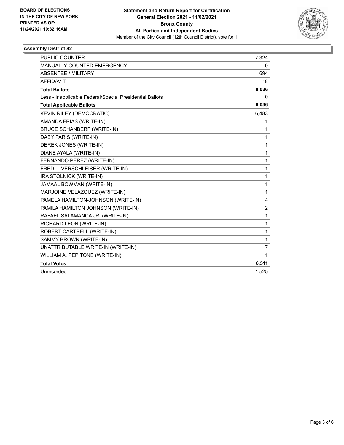

## **Assembly District 82**

| <b>PUBLIC COUNTER</b>                                    | 7,324          |
|----------------------------------------------------------|----------------|
| MANUALLY COUNTED EMERGENCY                               | 0              |
| ABSENTEE / MILITARY                                      | 694            |
| <b>AFFIDAVIT</b>                                         | 18             |
| <b>Total Ballots</b>                                     | 8,036          |
| Less - Inapplicable Federal/Special Presidential Ballots | $\mathbf{0}$   |
| <b>Total Applicable Ballots</b>                          | 8,036          |
| KEVIN RILEY (DEMOCRATIC)                                 | 6,483          |
| AMANDA FRIAS (WRITE-IN)                                  | 1              |
| <b>BRUCE SCHANBERF (WRITE-IN)</b>                        | 1              |
| DABY PARIS (WRITE-IN)                                    | 1              |
| DEREK JONES (WRITE-IN)                                   | 1              |
| DIANE AYALA (WRITE-IN)                                   | 1              |
| FERNANDO PEREZ (WRITE-IN)                                | 1              |
| FRED L. VERSCHLEISER (WRITE-IN)                          | 1              |
| IRA STOLNICK (WRITE-IN)                                  | 1              |
| JAMAAL BOWMAN (WRITE-IN)                                 | $\mathbf{1}$   |
| MARJOINE VELAZQUEZ (WRITE-IN)                            | $\mathbf{1}$   |
| PAMELA HAMILTON-JOHNSON (WRITE-IN)                       | 4              |
| PAMILA HAMILTON JOHNSON (WRITE-IN)                       | $\overline{2}$ |
| RAFAEL SALAMANCA JR. (WRITE-IN)                          | $\mathbf{1}$   |
| RICHARD LEON (WRITE-IN)                                  | 1              |
| ROBERT CARTRELL (WRITE-IN)                               | $\mathbf{1}$   |
| SAMMY BROWN (WRITE-IN)                                   | 1              |
| UNATTRIBUTABLE WRITE-IN (WRITE-IN)                       | 7              |
| WILLIAM A. PEPITONE (WRITE-IN)                           | $\mathbf{1}$   |
| <b>Total Votes</b>                                       | 6,511          |
| Unrecorded                                               | 1,525          |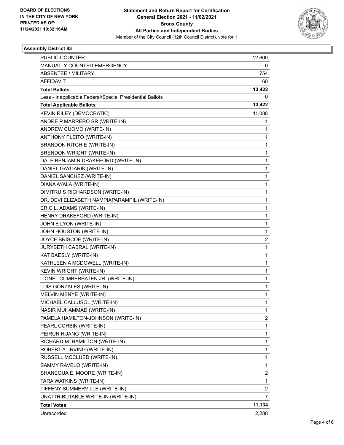

## **Assembly District 83**

| <b>PUBLIC COUNTER</b>                                    | 12,600                  |
|----------------------------------------------------------|-------------------------|
| MANUALLY COUNTED EMERGENCY                               | 0                       |
| ABSENTEE / MILITARY                                      | 754                     |
| <b>AFFIDAVIT</b>                                         | 68                      |
| <b>Total Ballots</b>                                     | 13,422                  |
| Less - Inapplicable Federal/Special Presidential Ballots | 0                       |
| <b>Total Applicable Ballots</b>                          | 13,422                  |
| KEVIN RILEY (DEMOCRATIC)                                 | 11,088                  |
| ANDRE P MARRERO SR (WRITE-IN)                            | 1                       |
| ANDREW CUOMO (WRITE-IN)                                  | 1                       |
| ANTHONY PLEITO (WRITE-IN)                                | 1                       |
| <b>BRANDON RITCHIE (WRITE-IN)</b>                        | 1                       |
| <b>BRENDON WRIGHT (WRITE-IN)</b>                         | 1                       |
| DALE BENJAMIN DRAKEFORD (WRITE-IN)                       | $\mathbf 1$             |
| DANIEL GAYDARIK (WRITE-IN)                               | 1                       |
| DANIEL SANCHEZ (WRITE-IN)                                | 1                       |
| DIANA AYALA (WRITE-IN)                                   | 1                       |
| DIMITRUIS RICHARDSON (WRITE-IN)                          | 1                       |
| DR. DEVI ELIZABETH NAMPIAPARAMPIL (WRITE-IN)             | 1                       |
| ERIC L. ADAMS (WRITE-IN)                                 | $\mathbf 1$             |
| HENRY DRAKEFORD (WRITE-IN)                               | 1                       |
| JOHN E LYON (WRITE-IN)                                   | 1                       |
| JOHN HOUSTON (WRITE-IN)                                  | 1                       |
| JOYCE BRISCOE (WRITE-IN)                                 | 2                       |
| JURYBETH CABRAL (WRITE-IN)                               | 1                       |
| KAT BAESLY (WRITE-IN)                                    | $\mathbf 1$             |
| KATHLEEN A MCDOWELL (WRITE-IN)                           | 1                       |
| KEVIN WRIGHT (WRITE-IN)                                  | 1                       |
| LIONEL CUMBERBATEN JR. (WRITE-IN)                        | 1                       |
| LUIS GONZALES (WRITE-IN)                                 | 1                       |
| MELVIN MENYE (WRITE-IN)                                  | 1                       |
| MICHAEL CALLUSOL (WRITE-IN)                              | 1                       |
| NASIR MUHAMMAD (WRITE-IN)                                | $\mathbf{1}$            |
| PAMELA HAMILTON-JOHNSON (WRITE-IN)                       | 2                       |
| PEARL CORBIN (WRITE-IN)                                  | $\mathbf{1}$            |
| PEIRUN HUANG (WRITE-IN)                                  | $\mathbf 1$             |
| RICHARD M. HAMILTON (WRITE-IN)                           | 1                       |
| ROBERT A. IRVING (WRITE-IN)                              | 1                       |
| RUSSELL MCCLUED (WRITE-IN)                               | $\mathbf{1}$            |
| SAMMY RAVELO (WRITE-IN)                                  | 1                       |
| SHANEQUA E. MOORE (WRITE-IN)                             | $\overline{\mathbf{c}}$ |
| TARA WATKINS (WRITE-IN)                                  | $\mathbf{1}$            |
| TIFFENY SUMMERVILLE (WRITE-IN)                           | 2                       |
| UNATTRIBUTABLE WRITE-IN (WRITE-IN)                       | 7                       |
| <b>Total Votes</b>                                       | 11,134                  |
| Unrecorded                                               | 2,288                   |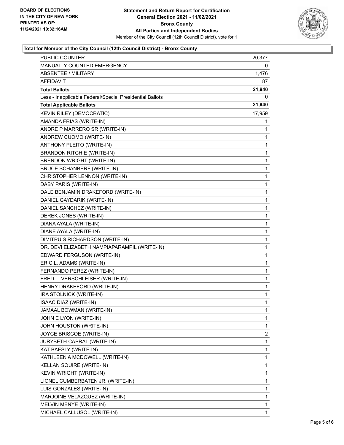

## **Total for Member of the City Council (12th Council District) - Bronx County**

| PUBLIC COUNTER                                           | 20,377      |
|----------------------------------------------------------|-------------|
| MANUALLY COUNTED EMERGENCY                               | 0           |
| <b>ABSENTEE / MILITARY</b>                               | 1,476       |
| AFFIDAVIT                                                | 87          |
| <b>Total Ballots</b>                                     | 21,940      |
| Less - Inapplicable Federal/Special Presidential Ballots | 0           |
| <b>Total Applicable Ballots</b>                          | 21,940      |
| <b>KEVIN RILEY (DEMOCRATIC)</b>                          | 17,959      |
| AMANDA FRIAS (WRITE-IN)                                  | 1           |
| ANDRE P MARRERO SR (WRITE-IN)                            | 1           |
| ANDREW CUOMO (WRITE-IN)                                  | 1           |
| ANTHONY PLEITO (WRITE-IN)                                | 1           |
| <b>BRANDON RITCHIE (WRITE-IN)</b>                        | 1           |
| <b>BRENDON WRIGHT (WRITE-IN)</b>                         | 1           |
| <b>BRUCE SCHANBERF (WRITE-IN)</b>                        | 1           |
| CHRISTOPHER LENNON (WRITE-IN)                            | 1           |
| DABY PARIS (WRITE-IN)                                    | 1           |
| DALE BENJAMIN DRAKEFORD (WRITE-IN)                       | 1           |
| DANIEL GAYDARIK (WRITE-IN)                               | $\mathbf 1$ |
| DANIEL SANCHEZ (WRITE-IN)                                | 1           |
| DEREK JONES (WRITE-IN)                                   | 1           |
| DIANA AYALA (WRITE-IN)                                   | 1           |
| DIANE AYALA (WRITE-IN)                                   | 1           |
| DIMITRUIS RICHARDSON (WRITE-IN)                          | 1           |
| DR. DEVI ELIZABETH NAMPIAPARAMPIL (WRITE-IN)             | 1           |
| EDWARD FERGUSON (WRITE-IN)                               | 1           |
| ERIC L. ADAMS (WRITE-IN)                                 | 1           |
| FERNANDO PEREZ (WRITE-IN)                                | 1           |
| FRED L. VERSCHLEISER (WRITE-IN)                          | 1           |
| HENRY DRAKEFORD (WRITE-IN)                               | 1           |
| IRA STOLNICK (WRITE-IN)                                  | 1           |
| ISAAC DIAZ (WRITE-IN)                                    | 1           |
| JAMAAL BOWMAN (WRITE-IN)                                 | 1           |
| JOHN E LYON (WRITE-IN)                                   | 1           |
| JOHN HOUSTON (WRITE-IN)                                  | 1           |
| JOYCE BRISCOE (WRITE-IN)                                 | 2           |
| JURYBETH CABRAL (WRITE-IN)                               | 1           |
| KAT BAESLY (WRITE-IN)                                    | 1           |
| KATHLEEN A MCDOWELL (WRITE-IN)                           | 1           |
| KELLAN SQUIRE (WRITE-IN)                                 | 1           |
| KEVIN WRIGHT (WRITE-IN)                                  | 1           |
| LIONEL CUMBERBATEN JR. (WRITE-IN)                        | 1           |
| LUIS GONZALES (WRITE-IN)                                 | 1           |
| MARJOINE VELAZQUEZ (WRITE-IN)                            | 1           |
| MELVIN MENYE (WRITE-IN)                                  | 1           |
| MICHAEL CALLUSOL (WRITE-IN)                              | 1           |